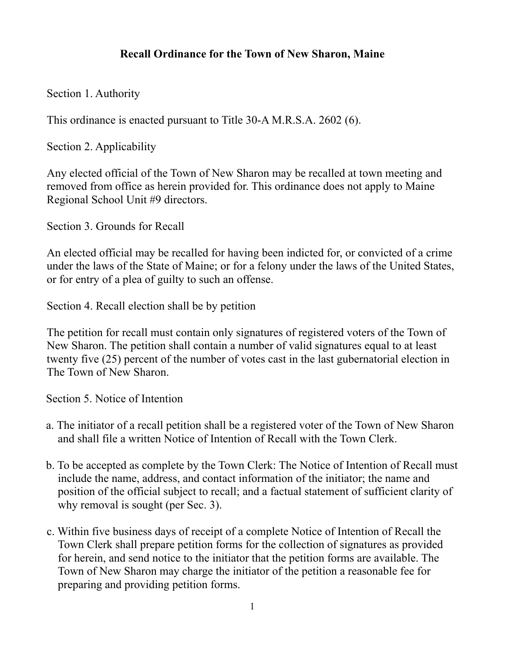## **Recall Ordinance for the Town of New Sharon, Maine**

Section 1. Authority

This ordinance is enacted pursuant to Title 30-A M.R.S.A. 2602 (6).

Section 2. Applicability

Any elected official of the Town of New Sharon may be recalled at town meeting and removed from office as herein provided for. This ordinance does not apply to Maine Regional School Unit #9 directors.

Section 3. Grounds for Recall

An elected official may be recalled for having been indicted for, or convicted of a crime under the laws of the State of Maine; or for a felony under the laws of the United States, or for entry of a plea of guilty to such an offense.

Section 4. Recall election shall be by petition

The petition for recall must contain only signatures of registered voters of the Town of New Sharon. The petition shall contain a number of valid signatures equal to at least twenty five (25) percent of the number of votes cast in the last gubernatorial election in The Town of New Sharon.

Section 5. Notice of Intention

- a. The initiator of a recall petition shall be a registered voter of the Town of New Sharon and shall file a written Notice of Intention of Recall with the Town Clerk.
- b. To be accepted as complete by the Town Clerk: The Notice of Intention of Recall must include the name, address, and contact information of the initiator; the name and position of the official subject to recall; and a factual statement of sufficient clarity of why removal is sought (per Sec. 3).
- c. Within five business days of receipt of a complete Notice of Intention of Recall the Town Clerk shall prepare petition forms for the collection of signatures as provided for herein, and send notice to the initiator that the petition forms are available. The Town of New Sharon may charge the initiator of the petition a reasonable fee for preparing and providing petition forms.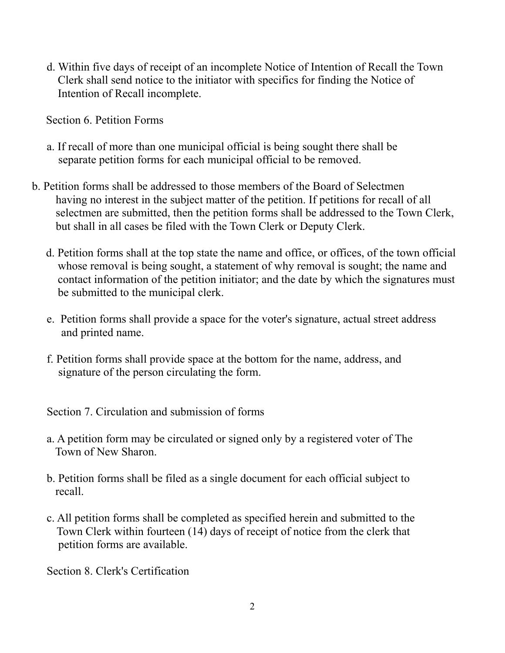d. Within five days of receipt of an incomplete Notice of Intention of Recall the Town Clerk shall send notice to the initiator with specifics for finding the Notice of Intention of Recall incomplete.

Section 6. Petition Forms

- a. If recall of more than one municipal official is being sought there shall be separate petition forms for each municipal official to be removed.
- b. Petition forms shall be addressed to those members of the Board of Selectmen having no interest in the subject matter of the petition. If petitions for recall of all selectmen are submitted, then the petition forms shall be addressed to the Town Clerk, but shall in all cases be filed with the Town Clerk or Deputy Clerk.
	- d. Petition forms shall at the top state the name and office, or offices, of the town official whose removal is being sought, a statement of why removal is sought; the name and contact information of the petition initiator; and the date by which the signatures must be submitted to the municipal clerk.
	- e. Petition forms shall provide a space for the voter's signature, actual street address and printed name.
	- f. Petition forms shall provide space at the bottom for the name, address, and signature of the person circulating the form.

Section 7. Circulation and submission of forms

- a. A petition form may be circulated or signed only by a registered voter of The Town of New Sharon.
- b. Petition forms shall be filed as a single document for each official subject to recall.
- c. All petition forms shall be completed as specified herein and submitted to the Town Clerk within fourteen (14) days of receipt of notice from the clerk that petition forms are available.

Section 8. Clerk's Certification